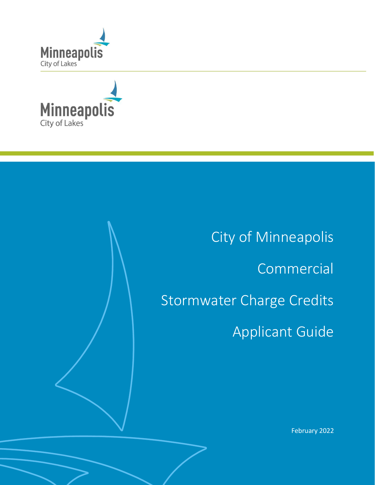



City of Minneapolis Commercial Stormwater Charge Credits Applicant Guide

February 2022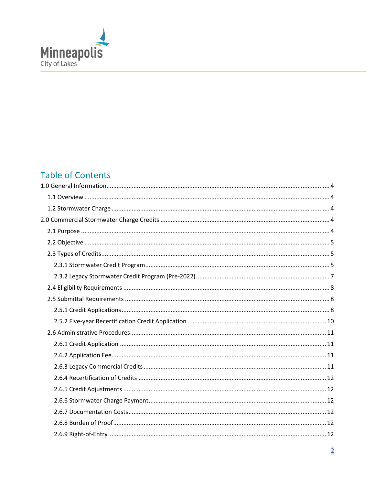

# **Table of Contents**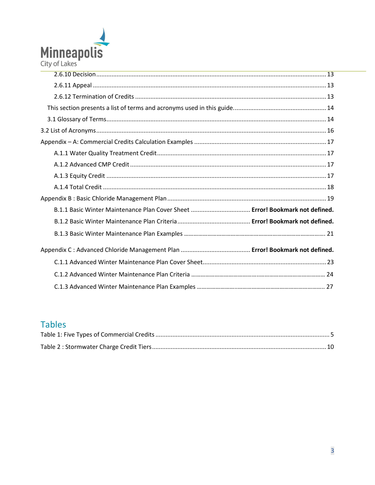

| B.1.1 Basic Winter Maintenance Plan Cover Sheet  Error! Bookmark not defined. |  |
|-------------------------------------------------------------------------------|--|
|                                                                               |  |
|                                                                               |  |
|                                                                               |  |
|                                                                               |  |
|                                                                               |  |
|                                                                               |  |

# **Tables**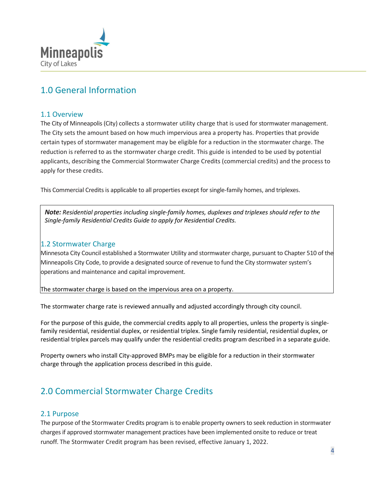

## <span id="page-3-0"></span>1.0 General Information

### <span id="page-3-1"></span>1.1 Overview

The City of Minneapolis(City) collects a stormwater utility charge that is used for stormwater management. The City sets the amount based on how much impervious area a property has. Properties that provide certain types of stormwater management may be eligible for a reduction in the stormwater charge. The reduction is referred to as the stormwater charge credit. This guide is intended to be used by potential applicants, describing the Commercial Stormwater Charge Credits (commercial credits) and the process to apply for these credits.

This Commercial Credits is applicable to all properties except for single-family homes, and triplexes.

*Note: Residential properties including single-family homes, duplexes and triplexes should refer to the Single-family Residential Credits Guide to apply for Residential Credits.*

## <span id="page-3-2"></span>1.2 Stormwater Charge

Minnesota City Council established a Stormwater Utility and stormwater charge, pursuant to Chapter 510 of the Minneapolis City Code, to provide a designated source of revenue to fund the City stormwater system's operations and maintenance and capital improvement.

The stormwater charge is based on the impervious area on a property.

The stormwater charge rate is reviewed annually and adjusted accordingly through city council.

For the purpose of this guide, the commercial credits apply to all properties, unless the property is singlefamily residential, residential duplex, or residential triplex. Single family residential, residential duplex, or residential triplex parcels may qualify under the residential credits program described in a separate guide.

Property owners who install City-approved BMPs may be eligible for a reduction in their stormwater charge through the application process described in this guide.

# <span id="page-3-3"></span>2.0 Commercial Stormwater Charge Credits

### <span id="page-3-4"></span>2.1 Purpose

The purpose of the Stormwater Credits program is to enable property owners to seek reduction in stormwater charges if approved stormwater management practices have been implemented onsite to reduce or treat runoff. The Stormwater Credit program has been revised, effective January 1, 2022.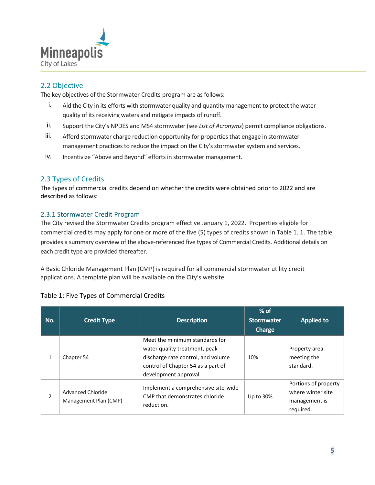

## <span id="page-4-0"></span>2.2 Objective

The key objectives of the Stormwater Credits program are as follows:

- i. Aid the City in its efforts with stormwater quality and quantity management to protect the water quality of its receiving waters and mitigate impacts of runoff.
- ii. Support the City's NPDES and MS4 stormwater (see *List of Acronyms*) permit compliance obligations.
- iii. Afford stormwater charge reduction opportunity for properties that engage in stormwater management practices to reduce the impact on the City's stormwater system and services.
- iv. Incentivize "Above and Beyond" efforts in stormwater management.

## <span id="page-4-1"></span>2.3 Types of Credits

The types of commercial credits depend on whether the credits were obtained prior to 2022 and are described as follows:

## <span id="page-4-2"></span>2.3.1 Stormwater Credit Program

The City revised the Stormwater Credits program effective January 1, 2022. Properties eligible for commercial credits may apply for one or more of the five (5) types of credits shown in Table 1. 1. The table provides a summary overview of the above-referenced five types of Commercial Credits. Additional details on each credit type are provided thereafter.

A Basic Chloride Management Plan (CMP) is required for all commercial stormwater utility credit applications. A template plan will be available on the City's website.

| No.            | <b>Credit Type</b>                         | <b>Description</b>                                                                                                                                                   | $%$ of<br><b>Stormwater</b><br><b>Charge</b> | <b>Applied to</b>                                                       |
|----------------|--------------------------------------------|----------------------------------------------------------------------------------------------------------------------------------------------------------------------|----------------------------------------------|-------------------------------------------------------------------------|
|                | Chapter 54                                 | Meet the minimum standards for<br>water quality treatment, peak<br>discharge rate control, and volume<br>control of Chapter 54 as a part of<br>development approval. | 10%                                          | Property area<br>meeting the<br>standard.                               |
| $\overline{2}$ | Advanced Chloride<br>Management Plan (CMP) | Implement a comprehensive site-wide<br>CMP that demonstrates chloride<br>reduction.                                                                                  | Up to 30%                                    | Portions of property<br>where winter site<br>management is<br>required. |

## <span id="page-4-3"></span>Table 1: Five Types of Commercial Credits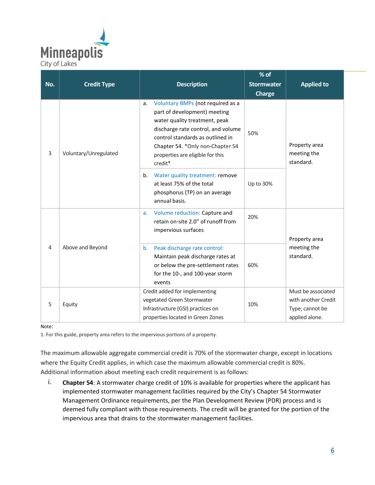

| No.            | <b>Credit Type</b>    | <b>Description</b>                                                                                                                                                                                                                                                     | $%$ of<br><b>Stormwater</b> |                                                                                |  |
|----------------|-----------------------|------------------------------------------------------------------------------------------------------------------------------------------------------------------------------------------------------------------------------------------------------------------------|-----------------------------|--------------------------------------------------------------------------------|--|
|                |                       |                                                                                                                                                                                                                                                                        | <b>Charge</b>               | <b>Applied to</b>                                                              |  |
| 3              | Voluntary/Unregulated | Voluntary BMPs (not required as a<br>a.<br>part of development) meeting<br>water quality treatment, peak<br>discharge rate control, and volume<br>control standards as outlined in<br>Chapter 54. * Only non-Chapter 54<br>properties are eligible for this<br>credit* | 50%                         | Property area<br>meeting the<br>standard.                                      |  |
|                |                       | Water quality treatment: remove<br>b.<br>at least 75% of the total<br>phosphorus (TP) on an average<br>annual basis.                                                                                                                                                   | Up to 30%                   |                                                                                |  |
| $\overline{4}$ | Above and Beyond      | Volume reduction: Capture and<br>a.<br>retain on-site 2.0" of runoff from<br>impervious surfaces                                                                                                                                                                       | 20%                         | Property area                                                                  |  |
|                |                       | Peak discharge rate control:<br>b.<br>Maintain peak discharge rates at<br>or below the pre-settlement rates<br>for the 10-, and 100-year storm<br>events                                                                                                               | 60%                         | meeting the<br>standard.                                                       |  |
| 5              | Equity                | Credit added for implementing<br>vegetated Green Stormwater<br>Infrastructure (GSI) practices on<br>properties located in Green Zones                                                                                                                                  | 10%                         | Must be associated<br>with another Credit<br>Type; cannot be<br>applied alone. |  |

#### Note:

1. For this guide, property area refers to the impervious portions of a property.

The maximum allowable aggregate commercial credit is 70% of the stormwater charge, except in locations where the Equity Credit applies, in which case the maximum allowable commercial credit is 80%. Additional information about meeting each credit requirement is as follows:

i. **Chapter 54**: A stormwater charge credit of 10% is available for properties where the applicant has implemented stormwater management facilities required by the City's Chapter 54 Stormwater Management Ordinance requirements, per the Plan Development Review (PDR) process and is deemed fully compliant with those requirements. The credit will be granted for the portion of the impervious area that drains to the stormwater management facilities.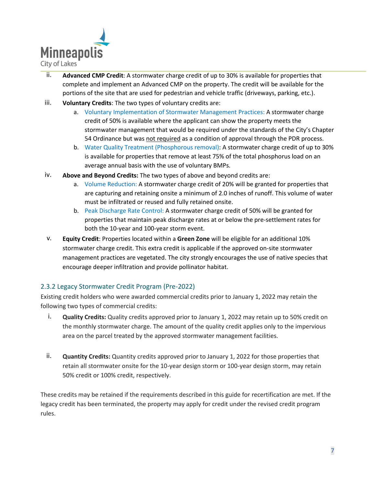

- ii. **Advanced CMP Credit**: A stormwater charge credit of up to 30% is available for properties that complete and implement an Advanced CMP on the property. The credit will be available for the portions of the site that are used for pedestrian and vehicle traffic (driveways, parking, etc.).
- iii. **Voluntary Credits**: The two types of voluntary credits are:
	- a. Voluntary Implementation of Stormwater Management Practices: A stormwater charge credit of 50% is available where the applicant can show the property meets the stormwater management that would be required under the standards of the City's Chapter 54 Ordinance but was not required as a condition of approval through the PDR process.
	- b. Water Quality Treatment (Phosphorous removal): A stormwater charge credit of up to 30% is available for properties that remove at least 75% of the total phosphorus load on an average annual basis with the use of voluntary BMPs.
- iv. **Above and Beyond Credits:** The two types of above and beyond credits are:
	- a. Volume Reduction: A stormwater charge credit of 20% will be granted for properties that are capturing and retaining onsite a minimum of 2.0 inches of runoff. This volume of water must be infiltrated or reused and fully retained onsite.
	- b. Peak Discharge Rate Control: A stormwater charge credit of 50% will be granted for properties that maintain peak discharge rates at or below the pre-settlement rates for both the 10-year and 100-year storm event.
- v. **Equity Credit**: Properties located within a **Green Zone** will be eligible for an additional 10% stormwater charge credit. This extra credit is applicable if the approved on-site stormwater management practices are vegetated. The city strongly encourages the use of native species that encourage deeper infiltration and provide pollinator habitat.

## <span id="page-6-0"></span>2.3.2 Legacy Stormwater Credit Program (Pre-2022)

Existing credit holders who were awarded commercial credits prior to January 1, 2022 may retain the following two types of commercial credits:

- i. **Quality Credits:** Quality credits approved prior to January 1, 2022 may retain up to 50% credit on the monthly stormwater charge. The amount of the quality credit applies only to the impervious area on the parcel treated by the approved stormwater management facilities.
- ii. **Quantity Credits:** Quantity credits approved prior to January 1, 2022 for those properties that retain all stormwater onsite for the 10-year design storm or 100-year design storm, may retain 50% credit or 100% credit, respectively.

These credits may be retained if the requirements described in this guide for recertification are met. If the legacy credit has been terminated, the property may apply for credit under the revised credit program rules.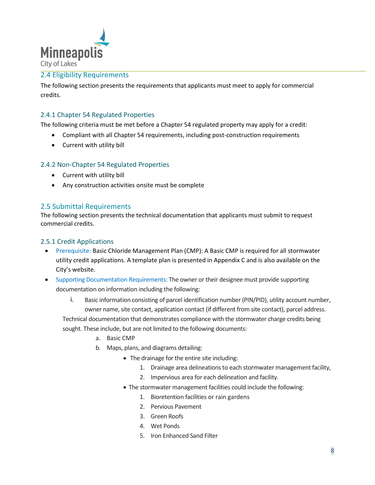

## <span id="page-7-0"></span>2.4 Eligibility Requirements

The following section presents the requirements that applicants must meet to apply for commercial credits.

## 2.4.1 Chapter 54 Regulated Properties

The following criteria must be met before a Chapter 54 regulated property may apply for a credit:

- Compliant with all Chapter 54 requirements, including post-construction requirements
- Current with utility bill

#### 2.4.2 Non-Chapter 54 Regulated Properties

- Current with utility bill
- Any construction activities onsite must be complete

#### <span id="page-7-1"></span>2.5 Submittal Requirements

The following section presents the technical documentation that applicants must submit to request commercial credits.

#### <span id="page-7-2"></span>2.5.1 Credit Applications

- Prerequisite: Basic Chloride Management Plan (CMP): A Basic CMP is required for all stormwater utility credit applications. A template plan is presented in Appendix C and is also available on the City's website.
- Supporting Documentation Requirements: The owner or their designee must provide supporting documentation on information including the following:
	- i. Basic information consisting of parcel identification number (PIN/PID), utility account number, owner name, site contact, application contact (if different from site contact), parcel address.

Technical documentation that demonstrates compliance with the stormwater charge credits being sought. These include, but are not limited to the following documents:

- a. Basic CMP
- b. Maps, plans, and diagrams detailing:
	- The drainage for the entire site including:
		- 1. Drainage area delineations to each stormwater management facility,
		- 2. Impervious area for each delineation and facility.
	- The stormwater management facilities could include the following:
		- 1. Bioretention facilities or rain gardens
		- 2. Pervious Pavement
		- 3. Green Roofs
		- 4. Wet Ponds
		- 5. Iron Enhanced Sand Filter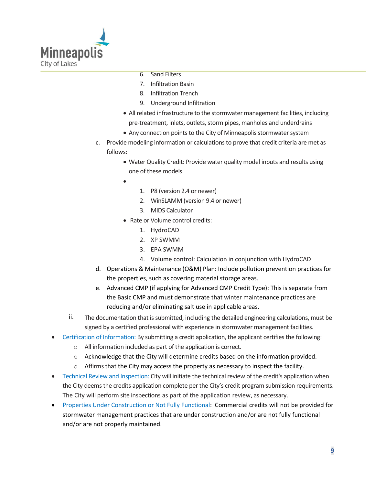

- 6. Sand Filters
- 7. Infiltration Basin
- 8. Infiltration Trench
- 9. Underground Infiltration
- All related infrastructure to the stormwater management facilities, including pre-treatment, inlets, outlets, storm pipes, manholes and underdrains
- Any connection points to the City of Minneapolis stormwater system
- c. Provide modeling information or calculations to prove that credit criteria are met as follows:
	- Water Quality Credit: Provide water quality model inputs and results using one of these models.
	- •
- 1. P8 (version 2.4 or newer)
- 2. WinSLAMM (version 9.4 or newer)
- 3. MIDS Calculator
- Rate or Volume control credits:
	- 1. HydroCAD
	- 2. XP SWMM
	- 3. EPA SWMM
	- 4. Volume control: Calculation in conjunction with HydroCAD
- d. Operations & Maintenance (O&M) Plan: Include pollution prevention practices for the properties, such as covering material storage areas.
- e. Advanced CMP (if applying for Advanced CMP Credit Type): This is separate from the Basic CMP and must demonstrate that winter maintenance practices are reducing and/or eliminating salt use in applicable areas.
- ii. The documentation that is submitted, including the detailed engineering calculations, must be signed by a certified professional with experience in stormwater management facilities.
- Certification of Information: By submitting a credit application, the applicant certifies the following:
	- o All information included as part of the application is correct.
	- o Acknowledge that the City will determine credits based on the information provided.
	- $\circ$  Affirms that the City may access the property as necessary to inspect the facility.
- Technical Review and Inspection: City will initiate the technical review of the credit's application when the City deems the credits application complete per the City's credit program submission requirements. The City will perform site inspections as part of the application review, as necessary.
- Properties Under Construction or Not Fully Functional: Commercial credits will not be provided for stormwater management practices that are under construction and/or are not fully functional and/or are not properly maintained.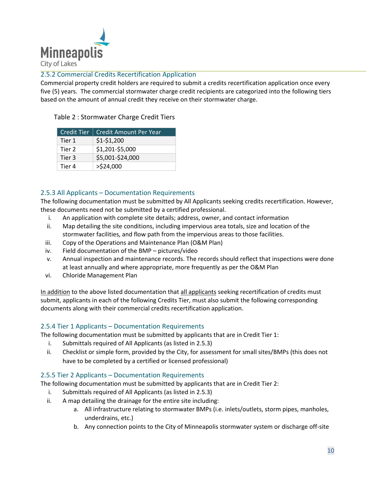

### <span id="page-9-0"></span>2.5.2 Commercial Credits Recertification Application

Commercial property credit holders are required to submit a credits recertification application once every five (5) years. The commercial stormwater charge credit recipients are categorized into the following tiers based on the amount of annual credit they receive on their stormwater charge.

| Credit Tier | <b>Credit Amount Per Year</b> |
|-------------|-------------------------------|
| Tier 1      | $$1-$1,200$                   |
| Tier 2      | \$1,201-\$5,000               |
| Tier 3      | \$5,001-\$24,000              |
| Tier 4      | $>$ \$24,000                  |

#### <span id="page-9-1"></span>Table 2 : Stormwater Charge Credit Tiers

### 2.5.3 All Applicants – Documentation Requirements

The following documentation must be submitted by All Applicants seeking credits recertification. However, these documents need not be submitted by a certified professional.

- i. An application with complete site details; address, owner, and contact information
- ii. Map detailing the site conditions, including impervious area totals, size and location of the stormwater facilities, and flow path from the impervious areas to those facilities.
- iii. Copy of the Operations and Maintenance Plan (O&M Plan)
- iv. Field documentation of the BMP pictures/video
- v. Annual inspection and maintenance records. The records should reflect that inspections were done at least annually and where appropriate, more frequently as per the O&M Plan
- vi. Chloride Management Plan

In addition to the above listed documentation that all applicants seeking recertification of credits must submit, applicants in each of the following Credits Tier, must also submit the following corresponding documents along with their commercial credits recertification application.

### 2.5.4 Tier 1 Applicants – Documentation Requirements

The following documentation must be submitted by applicants that are in Credit Tier 1:

- i. Submittals required of All Applicants (as listed in 2.5.3)
- ii. Checklist or simple form, provided by the City, for assessment for small sites/BMPs (this does not have to be completed by a certified or licensed professional)

### 2.5.5 Tier 2 Applicants – Documentation Requirements

The following documentation must be submitted by applicants that are in Credit Tier 2:

- i. Submittals required of All Applicants (as listed in 2.5.3)
- ii. A map detailing the drainage for the entire site including:
	- a. All infrastructure relating to stormwater BMPs (i.e. inlets/outlets, storm pipes, manholes, underdrains, etc.)
	- b. Any connection points to the City of Minneapolis stormwater system or discharge off-site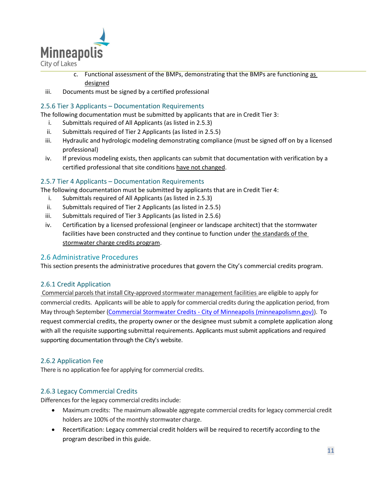

- c. Functional assessment of the BMPs, demonstrating that the BMPs are functioning as designed
- iii. Documents must be signed by a certified professional

## 2.5.6 Tier 3 Applicants – Documentation Requirements

The following documentation must be submitted by applicants that are in Credit Tier 3:

- i. Submittals required of All Applicants (as listed in 2.5.3)
- ii. Submittals required of Tier 2 Applicants (as listed in 2.5.5)
- iii. Hydraulic and hydrologic modeling demonstrating compliance (must be signed off on by a licensed professional)
- iv. If previous modeling exists, then applicants can submit that documentation with verification by a certified professional that site conditions have not changed.

#### 2.5.7 Tier 4 Applicants – Documentation Requirements

The following documentation must be submitted by applicants that are in Credit Tier 4:

- i. Submittals required of All Applicants (as listed in 2.5.3)
- ii. Submittals required of Tier 2 Applicants (as listed in 2.5.5)
- iii. Submittals required of Tier 3 Applicants (as listed in 2.5.6)
- iv. Certification by a licensed professional (engineer or landscape architect) that the stormwater facilities have been constructed and they continue to function under the standards of the stormwater charge credits program.

### <span id="page-10-0"></span>2.6 Administrative Procedures

This section presents the administrative procedures that govern the City's commercial credits program.

#### <span id="page-10-1"></span>2.6.1 Credit Application

Commercial parcels that install City-approved stormwater management facilities are eligible to apply for commercial credits. Applicants will be able to apply for commercial credits during the application period, from May through September (Commercial Stormwater Credits - [City of Minneapolis \(minneapolismn.gov\)\)](https://www.minneapolismn.gov/resident-services/utility-services/stormwater/commercial-stormwater-credits/). To request commercial credits, the property owner or the designee must submit a complete application along with all the requisite supporting submittal requirements. Applicants must submit applications and required supporting documentation through the City's website.

#### <span id="page-10-2"></span>2.6.2 Application Fee

There is no application fee for applying for commercial credits.

### <span id="page-10-3"></span>2.6.3 Legacy Commercial Credits

Differences for the legacy commercial credits include:

- Maximum credits: The maximum allowable aggregate commercial credits for legacy commercial credit holders are 100% of the monthly stormwater charge.
- Recertification: Legacy commercial credit holders will be required to recertify according to the program described in this guide.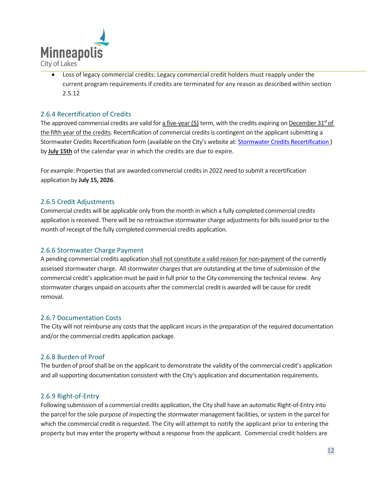

• Loss of legacy commercial credits: Legacy commercial credit holders must reapply under the current program requirements if credits are terminated for any reason as described within section 2.5.12

### <span id="page-11-0"></span>2.6.4 Recertification of Credits

The approved commercial credits are valid for a five-year  $(5)$  term, with the credits expiring on December 31<sup>st</sup> of the fifth year of the credits. Recertification of commercial credits is contingent on the applicant submitting a Stormwater Credits Recertification form (available on the City's website at: Stormwater Credits Recertification ) by **July 15th** of the calendar year in which the credits are due to expire.

For example: Properties that are awarded commercial creditsin 2022 need to submit a recertification application by **July 15, 2026**.

#### <span id="page-11-1"></span>2.6.5 Credit Adjustments

Commercial credits will be applicable only from the month in which a fully completed commercial credits application is received. There will be no retroactive stormwater charge adjustments for bills issued prior to the month of receipt of the fully completed commercial credits application.

#### <span id="page-11-2"></span>2.6.6 Stormwater Charge Payment

A pending commercial credits application shall not constitute a valid reason for non-payment of the currently assessed stormwater charge. All stormwater charges that are outstanding at the time of submission of the commercial credit's application must be paid in full prior to the City commencing the technical review. Any stormwater charges unpaid on accounts after the commercial credit is awarded will be cause for credit removal.

#### <span id="page-11-3"></span>2.6.7 Documentation Costs

The City will not reimburse any costs that the applicant incurs in the preparation of the required documentation and/or the commercial credits application package.

#### <span id="page-11-4"></span>2.6.8 Burden of Proof

The burden of proof shall be on the applicant to demonstrate the validity of the commercial credit's application and all supporting documentation consistent with the City's application and documentation requirements.

#### <span id="page-11-5"></span>2.6.9 Right-of-Entry

Following submission of a commercial credits application, the City shall have an automatic Right-of-Entry into the parcel for the sole purpose of inspecting the stormwater management facilities, or system in the parcel for which the commercial credit is requested. The City will attempt to notify the applicant prior to entering the property but may enter the property without a response from the applicant. Commercial credit holders are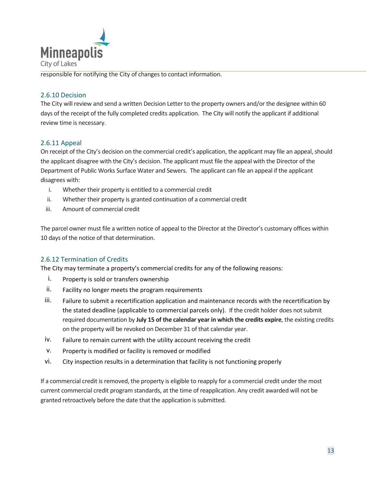

responsible for notifying the City of changes to contact information.

## <span id="page-12-0"></span>2.6.10 Decision

The City will review and send a written Decision Letter to the property owners and/or the designee within 60 days of the receipt of the fully completed credits application. The City will notify the applicant if additional review time is necessary.

## <span id="page-12-1"></span>2.6.11 Appeal

On receipt of the City's decision on the commercial credit's application, the applicant may file an appeal, should the applicant disagree with the City's decision. The applicant must file the appeal with the Director of the Department of Public Works Surface Water and Sewers. The applicant can file an appeal if the applicant disagrees with:

- i. Whether their property is entitled to a commercial credit
- ii. Whether their property is granted continuation of a commercial credit
- iii. Amount of commercial credit

The parcel owner must file a written notice of appeal to the Director at the Director's customary offices within 10 days of the notice of that determination.

## <span id="page-12-2"></span>2.6.12 Termination of Credits

The City may terminate a property's commercial credits for any of the following reasons:

- i. Property is sold or transfers ownership
- ii. Facility no longer meets the program requirements
- iii. Failure to submit a recertification application and maintenance records with the recertification by the stated deadline (applicable to commercial parcels only). If the credit holder does not submit required documentation by **July 15 of the calendar year in which the credits expire**, the existing credits on the property will be revoked on December 31 of that calendar year.
- iv. Failure to remain current with the utility account receiving the credit
- v. Property is modified or facility is removed or modified
- vi. City inspection results in a determination that facility is not functioning properly

If a commercial credit is removed, the property is eligible to reapply for a commercial credit under the most current commercial credit program standards, at the time of reapplication. Any credit awarded will not be granted retroactively before the date that the application is submitted.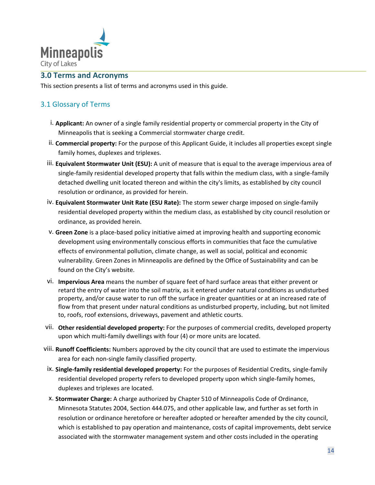

## **3.0 Terms and Acronyms**

<span id="page-13-0"></span>This section presents a list of terms and acronyms used in this guide.

## <span id="page-13-1"></span>3.1 Glossary of Terms

- i. **Applicant:** An owner of a single family residential property or commercial property in the City of Minneapolis that is seeking a Commercial stormwater charge credit.
- ii. **Commercial property:** For the purpose of this Applicant Guide, it includes all properties except single family homes, duplexes and triplexes.
- iii. **Equivalent Stormwater Unit (ESU):** A unit of measure that is equal to the average impervious area of single-family residential developed property that falls within the medium class, with a single-family detached dwelling unit located thereon and within the city's limits, as established by city council resolution or ordinance, as provided for herein.
- iv. **Equivalent Stormwater Unit Rate (ESU Rate):** The storm sewer charge imposed on single-family residential developed property within the medium class, as established by city council resolution or ordinance, as provided herein.
- v. **Green Zone** is a place-based policy initiative aimed at improving health and supporting economic development using environmentally conscious efforts in communities that face the cumulative effects of environmental pollution, climate change, as well as social, political and economic vulnerability. Green Zones in Minneapolis are defined by the Office of Sustainability and can be found on the City's website.
- vi. **Impervious Area** means the number of square feet of hard surface areas that either prevent or retard the entry of water into the soil matrix, as it entered under natural conditions as undisturbed property, and/or cause water to run off the surface in greater quantities or at an increased rate of flow from that present under natural conditions as undisturbed property, including, but not limited to, roofs, roof extensions, driveways, pavement and athletic courts.
- vii. **Other residential developed property:** For the purposes of commercial credits, developed property upon which multi-family dwellings with four (4) or more units are located.
- viii. **Runoff Coefficients:** Numbers approved by the city council that are used to estimate the impervious area for each non-single family classified property.
- ix. **Single-family residential developed property:** For the purposes of Residential Credits, single-family residential developed property refers to developed property upon which single-family homes, duplexes and triplexes are located.
- x. **Stormwater Charge:** A charge authorized by Chapter 510 of Minneapolis Code of Ordinance, Minnesota Statutes 2004, Section 444.075, and other applicable law, and further as set forth in resolution or ordinance heretofore or hereafter adopted or hereafter amended by the city council, which is established to pay operation and maintenance, costs of capital improvements, debt service associated with the stormwater management system and other costs included in the operating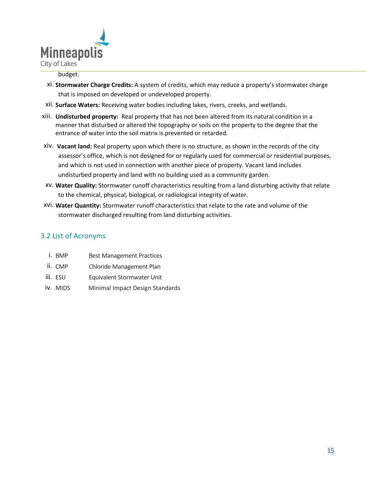

#### budget.

- xi. **Stormwater Charge Credits:** A system of credits, which may reduce a property's stormwater charge that is imposed on developed or undeveloped property.
- xii. **Surface Waters:** Receiving water bodies including lakes, rivers, creeks, and wetlands.
- xiii. **Undisturbed property:** Real property that has not been altered from its natural condition in a manner that disturbed or altered the topography or soils on the property to the degree that the entrance of water into the soil matrix is prevented or retarded.
- xiv. **Vacant land:** Real property upon which there is no structure, as shown in the records of the city assessor's office, which is not designed for or regularly used for commercial or residential purposes, and which is not used in connection with another piece of property. Vacant land includes undisturbed property and land with no building used as a community garden.
- xv. **Water Quality:** Stormwater runoff characteristics resulting from a land disturbing activity that relate to the chemical, physical, biological, or radiological integrity of water.
- xvi. **Water Quantity:** Stormwater runoff characteristics that relate to the rate and volume of the stormwater discharged resulting from land disturbing activities.

## 3.2 List of Acronyms

- i. BMP Best Management Practices
- ii. CMP Chloride Management Plan
- iii. ESU Equivalent Stormwater Unit
- iv. MIDS Minimal Impact Design Standards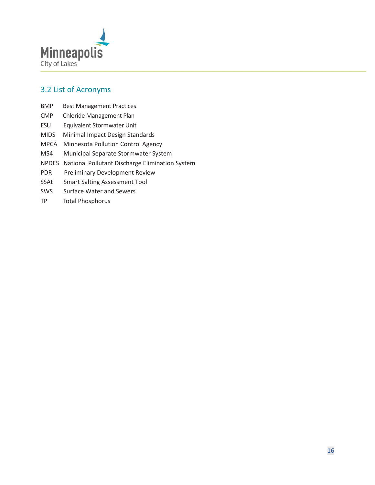

## <span id="page-15-0"></span>3.2 List of Acronyms

- BMP Best Management Practices
- CMP Chloride Management Plan
- ESU Equivalent Stormwater Unit
- MIDS Minimal Impact Design Standards
- MPCA Minnesota Pollution Control Agency
- MS4 Municipal Separate Stormwater System
- NPDES National Pollutant Discharge Elimination System
- PDR Preliminary Development Review
- SSAt Smart Salting Assessment Tool
- SWS Surface Water and Sewers
- TP Total Phosphorus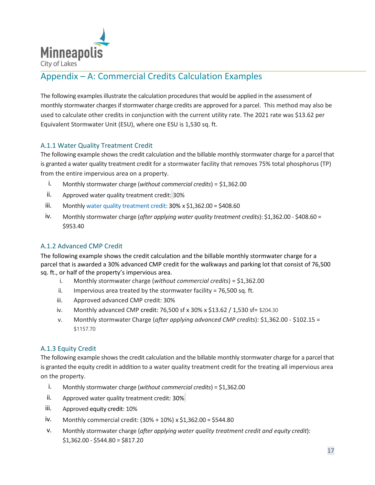

# <span id="page-16-0"></span>Appendix – A: Commercial Credits Calculation Examples

The following examplesillustrate the calculation procedures that would be applied in the assessment of monthly stormwater charges ifstormwater charge credits are approved for a parcel. This method may also be used to calculate other credits in conjunction with the current utility rate. The 2021 rate was \$13.62 per Equivalent Stormwater Unit (ESU), where one ESU is 1,530 sq. ft.

## <span id="page-16-1"></span>A.1.1 Water Quality Treatment Credit

The following example shows the credit calculation and the billable monthly stormwater charge for a parcel that is granted a water quality treatment credit for a stormwater facility that removes 75% total phosphorus (TP) from the entire impervious area on a property.

- i. Monthly stormwater charge (*without commercial credits*) = \$1,362.00
- ii. Approved water quality treatment credit: 30%
- iii. Monthly water quality treatment credit:  $30\% \times 51,362.00 = 5408.60$
- iv. Monthly stormwater charge (*after applying water quality treatment credits*): \$1,362.00 \$408.60 = \$953.40

## <span id="page-16-2"></span>A.1.2 Advanced CMP Credit

The following example shows the credit calculation and the billable monthly stormwater charge for a parcel that is awarded a 30% advanced CMP credit for the walkways and parking lot that consist of 76,500 sq. ft., or half of the property's impervious area.

- i. Monthly stormwater charge (*without commercial credits*) = \$1,362.00
- ii. Impervious area treated by the stormwater facility =  $76,500$  sq. ft.
- iii. Approved advanced CMP credit: 30%
- iv. Monthly advanced CMP credit: 76,500 sf x 30% x \$13.62 / 1,530 sf= \$204.30
- v. Monthly stormwater Charge (*after applying advanced CMP credits*): \$1,362.00 \$102.15 = \$1157.70

### <span id="page-16-3"></span>A.1.3 Equity Credit

The following example shows the credit calculation and the billable monthly stormwater charge for a parcel that is granted the equity credit in addition to a water quality treatment credit for the treating all impervious area on the property.

- i. Monthly stormwater charge (*without commercial credits*) = \$1,362.00
- ii. Approved water quality treatment credit: 30%
- iii. Approved equity credit: 10%
- iv. Monthly commercial credit: (30% + 10%) x \$1,362.00 = \$544.80
- v. Monthly stormwater charge (*after applying water quality treatment credit and equity credit*):  $$1,362.00 - $544.80 = $817.20$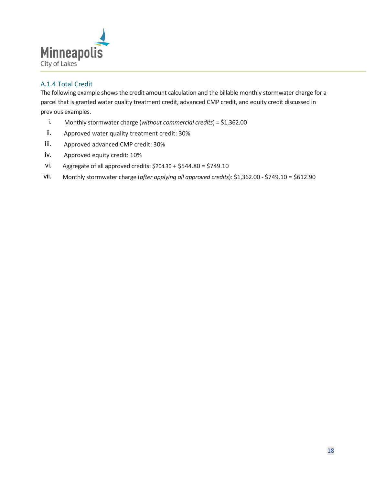

## <span id="page-17-0"></span>A.1.4 Total Credit

The following example shows the credit amount calculation and the billable monthly stormwater charge for a parcel that is granted water quality treatment credit, advanced CMP credit, and equity credit discussed in previous examples.

- i. Monthly stormwater charge (*without commercial credits*) = \$1,362.00
- ii. Approved water quality treatment credit: 30%
- iii. Approved advanced CMP credit: 30%
- iv. Approved equity credit: 10%
- vi. Aggregate of all approved credits: \$204.30 + \$544.80 = \$749.10
- vii. Monthly stormwater charge (*after applying all approved credits*): \$1,362.00 \$749.10 = \$612.90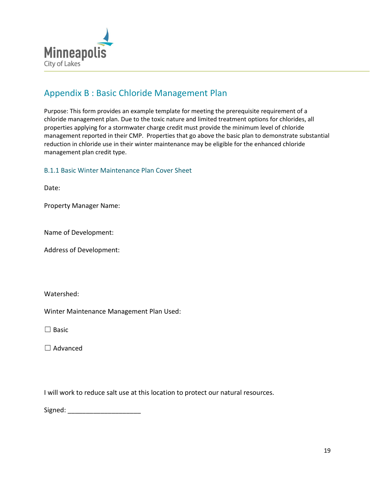

## <span id="page-18-0"></span>Appendix B : Basic Chloride Management Plan

Purpose: This form provides an example template for meeting the prerequisite requirement of a chloride management plan. Due to the toxic nature and limited treatment options for chlorides, all properties applying for a stormwater charge credit must provide the minimum level of chloride management reported in their CMP. Properties that go above the basic plan to demonstrate substantial reduction in chloride use in their winter maintenance may be eligible for the enhanced chloride management plan credit type.

## B.1.1 Basic Winter Maintenance Plan Cover Sheet

Date:

Property Manager Name:

Name of Development:

Address of Development:

Watershed:

Winter Maintenance Management Plan Used:

☐ Basic

☐ Advanced

I will work to reduce salt use at this location to protect our natural resources.

Signed:  $\Box$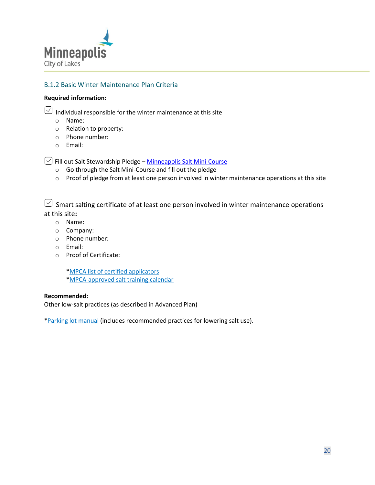

## B.1.2 Basic Winter Maintenance Plan Criteria

#### **Required information:**

 $\sqrt{2}$  Individual responsible for the winter maintenance at this site

- o Name:
- o Relation to property:
- o Phone number:
- o Email:

 $\sqrt{2}$  Fill out Salt Stewardship Pledge – [Minneapolis Salt Mini-Course](https://www2.minneapolismn.gov/government/programs-initiatives/environmental-programs/salt/)

- o Go through the Salt Mini-Course and fill out the pledge
- $\circ$  Proof of pledge from at least one person involved in winter maintenance operations at this site

 $\heartsuit$  Smart salting certificate of at least one person involved in winter maintenance operations at this site**:** 

- o Name:
- o Company:
- o Phone number:
- o Email:
- o Proof of Certificate:

\*MPCA list of [certified applicators](https://www.pca.state.mn.us/water/hire-certified-applicator)

[\\*MPCA-approved salt training calendar](https://www.pca.state.mn.us/water/smart-salting-training-calendar/2021-06)

#### **Recommended:**

Other low-salt practices (as described in Advanced Plan)

[\\*Parking lot manual](https://www.pca.state.mn.us/sites/default/files/p-tr1-10.pdf) (includes recommended practices for lowering salt use).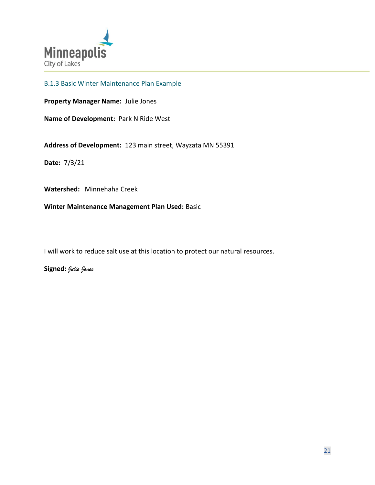

## B.1.3 Basic Winter Maintenance Plan Example

**Property Manager Name:** Julie Jones

**Name of Development:** Park N Ride West

**Address of Development:** 123 main street, Wayzata MN 55391

**Date:** 7/3/21

**Watershed:** Minnehaha Creek

**Winter Maintenance Management Plan Used:** Basic

I will work to reduce salt use at this location to protect our natural resources.

**Signed:** *Julie Jones*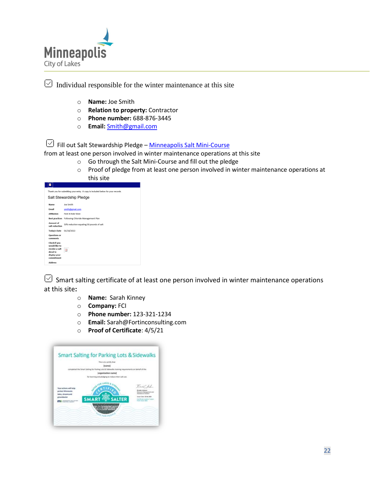

| $\boxed{\smile}$ Individual responsible for the winter maintenance at this site |  |
|---------------------------------------------------------------------------------|--|
|                                                                                 |  |

- o **Name:** Joe Smith
- o **Relation to property:** Contractor
- o **Phone number:** 688-876-3445
- o **Email:** [Smith@gmail.com](mailto:Smith@gmail.com)

 $\heartsuit$  Fill out Salt Stewardship Pledge – [Minneapolis Salt Mini-Course](https://www2.minneapolismn.gov/government/programs-initiatives/environmental-programs/salt/)

from at least one person involved in winter maintenance operations at this site

- o Go through the Salt Mini-Course and fill out the pledge
- o Proof of pledge from at least one person involved in winter maintenance operations at this site

| ×                                                                                         |                                          |  |  |  |
|-------------------------------------------------------------------------------------------|------------------------------------------|--|--|--|
| Thank you for submitting your entry. A copy is included below for your records.           |                                          |  |  |  |
| Salt Stewardship Pledge                                                                   |                                          |  |  |  |
| Name                                                                                      | Joe Smith                                |  |  |  |
| <b>Fmail</b>                                                                              | smith@gmail.com                          |  |  |  |
| <b>Affiliation</b>                                                                        | Park N Ride West                         |  |  |  |
| <b>Best practices</b>                                                                     | Following Chloride Management Plan       |  |  |  |
| Amount of<br>salt reduction                                                               | 50% reduction equaling 50 pounds of salt |  |  |  |
| <b>Today's Date</b>                                                                       | 01/18/2022                               |  |  |  |
| Questions or<br>comments                                                                  |                                          |  |  |  |
| Check if you<br>would like to<br>receive a salt<br>decal to<br>display your<br>commitment | $\pmb{\times}$                           |  |  |  |
| <b>Address</b>                                                                            |                                          |  |  |  |
|                                                                                           |                                          |  |  |  |

 $\Im$  Smart salting certificate of at least one person involved in winter maintenance operations at this site**:** 

- o **Name:** Sarah Kinney
- o **Company:** FCI
- o **Phone number:** 123-321-1234
- o **Email:** Sarah@Fortinconsulting.com
- o **Proof of Certificate**: 4/5/21

|                                                                                                                    | This is to certify that                                                                                   |                                                                                                                |
|--------------------------------------------------------------------------------------------------------------------|-----------------------------------------------------------------------------------------------------------|----------------------------------------------------------------------------------------------------------------|
|                                                                                                                    | (name)<br>conqueted the Smart Salting for Parking Lots & Sidewarks training requirements on behalf of the |                                                                                                                |
|                                                                                                                    | (organization name)                                                                                       |                                                                                                                |
|                                                                                                                    | for learning and pledging to reduce their salt use.                                                       |                                                                                                                |
| <b>Your actions will help</b><br>protect Minnesota<br>labor, streams and<br>undwater<br><b>MORRISON PROJECTION</b> | <b>SMART TINE SALTER</b>                                                                                  | $4-46$ kd<br>straint jank<br>long floor \$1.00.000<br>Cantificate equities Extent<br>forest boxes shake a con- |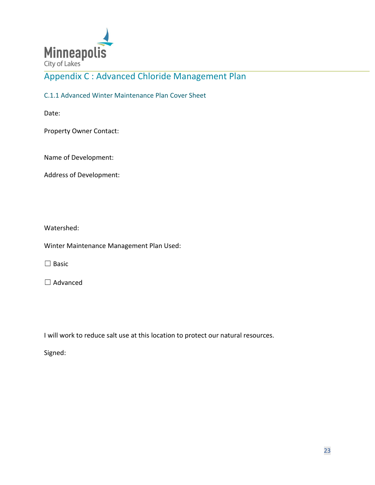

# Appendix C : Advanced Chloride Management Plan

C.1.1 Advanced Winter Maintenance Plan Cover Sheet

Date:

Property Owner Contact:

Name of Development:

Address of Development:

Watershed:

Winter Maintenance Management Plan Used:

 $\Box$  Basic

□ Advanced

I will work to reduce salt use at this location to protect our natural resources.

Signed: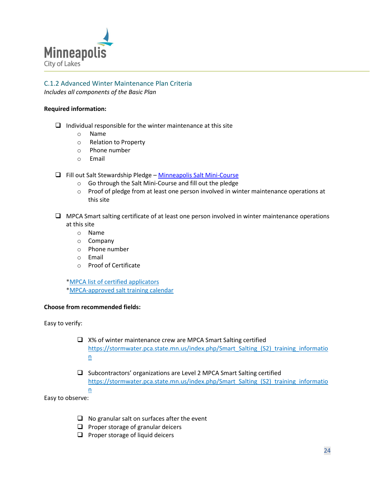

# C.1.2 Advanced Winter Maintenance Plan Criteria

*Includes all components of the Basic Plan*

#### **Required information:**

- $\Box$  Individual responsible for the winter maintenance at this site
	- o Name
	- o Relation to Property
	- o Phone number
	- o Email
- ❑ Fill out Salt Stewardship Pledge [Minneapolis Salt Mini-Course](https://www2.minneapolismn.gov/government/programs-initiatives/environmental-programs/salt/)
	- o Go through the Salt Mini-Course and fill out the pledge
	- o Proof of pledge from at least one person involved in winter maintenance operations at this site
- ❑ MPCA Smart salting certificate of at least one person involved in winter maintenance operations at this site
	- o Name
	- o Company
	- o Phone number
	- o Email
	- o Proof of Certificate

[\\*MPCA list of certified applicators](https://www.pca.state.mn.us/water/hire-certified-applicator) [\\*MPCA-approved salt training calendar](https://www.pca.state.mn.us/water/smart-salting-training-calendar/2021-06)

#### **Choose from recommended fields:**

Easy to verify:

- ❑ X% of winter maintenance crew are MPCA Smart Salting certified [https://stormwater.pca.state.mn.us/index.php/Smart\\_Salting\\_\(S2\)\\_training\\_informatio](https://stormwater.pca.state.mn.us/index.php/Smart_Salting_(S2)_training_information) [n](https://stormwater.pca.state.mn.us/index.php/Smart_Salting_(S2)_training_information)
- ❑ Subcontractors' organizations are Level 2 MPCA Smart Salting certified [https://stormwater.pca.state.mn.us/index.php/Smart\\_Salting\\_\(S2\)\\_training\\_informatio](https://stormwater.pca.state.mn.us/index.php/Smart_Salting_(S2)_training_information) [n](https://stormwater.pca.state.mn.us/index.php/Smart_Salting_(S2)_training_information)

Easy to observe:

- $\Box$  No granular salt on surfaces after the event
- ❑ Proper storage of granular deicers
- ❑ Proper storage of liquid deicers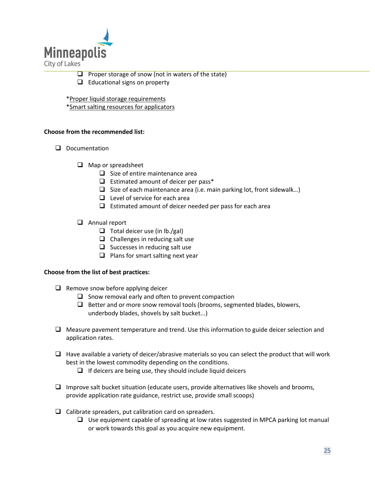

- $\Box$  Proper storage of snow (not in waters of the state)
- ❑ Educational signs on property
- [\\*Proper liquid storage requirements](https://www.pca.state.mn.us/sites/default/files/t-a2-07.pdf)

[\\*Smart salting resources for applicators](https://www.pca.state.mn.us/water/salt-applicators)

#### **Choose from the recommended list:**

- ❑ Documentation
	- ❑ Map or spreadsheet
		- ❑ Size of entire maintenance area
		- ❑ Estimated amount of deicer per pass\*
		- $\Box$  Size of each maintenance area (i.e. main parking lot, front sidewalk...)
		- ❑ Level of service for each area
		- $\Box$  Estimated amount of deicer needed per pass for each area
	- ❑ Annual report
		- $\Box$  Total deicer use (in lb./gal)
		- ❑ Challenges in reducing salt use
		- ❑ Successes in reducing salt use
		- ❑ Plans for smart salting next year

#### **Choose from the list of best practices:**

- ❑ Remove snow before applying deicer
	- $\Box$  Snow removal early and often to prevent compaction
	- ❑ Better and or more snow removal tools (brooms, segmented blades, blowers, underbody blades, shovels by salt bucket...)
- ❑ Measure pavement temperature and trend. Use this information to guide deicer selection and application rates.
- $\Box$  Have available a variety of deicer/abrasive materials so you can select the product that will work best in the lowest commodity depending on the conditions.
	- $\Box$  If deicers are being use, they should include liquid deicers
- ❑ Improve salt bucket situation (educate users, provide alternatives like shovels and brooms, provide application rate guidance, restrict use, provide small scoops)
- $\Box$  Calibrate spreaders, put calibration card on spreaders.
	- ❑ Use equipment capable of spreading at low rates suggested in MPCA parking lot manual or work towards this goal as you acquire new equipment.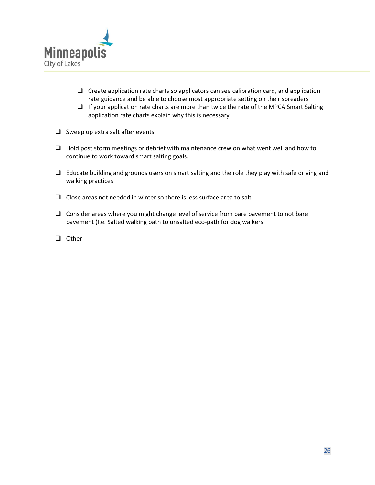

- ❑ Create application rate charts so applicators can see calibration card, and application rate guidance and be able to choose most appropriate setting on their spreaders
- $\Box$  If your application rate charts are more than twice the rate of the MPCA Smart Salting application rate charts explain why this is necessary
- ❑ Sweep up extra salt after events
- ❑ Hold post storm meetings or debrief with maintenance crew on what went well and how to continue to work toward smart salting goals.
- $\Box$  Educate building and grounds users on smart salting and the role they play with safe driving and walking practices
- $\Box$  Close areas not needed in winter so there is less surface area to salt
- ❑ Consider areas where you might change level of service from bare pavement to not bare pavement (I.e. Salted walking path to unsalted eco-path for dog walkers
- ❑ Other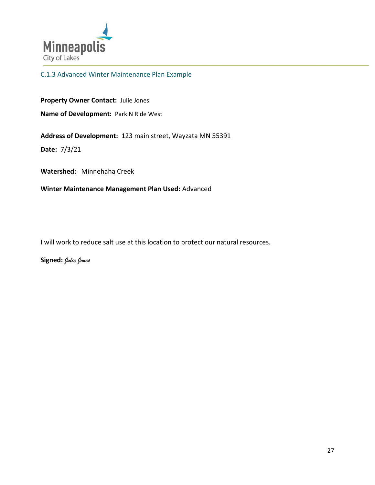

C.1.3 Advanced Winter Maintenance Plan Example

**Property Owner Contact:** Julie Jones **Name of Development:** Park N Ride West

**Address of Development:** 123 main street, Wayzata MN 55391

**Date:** 7/3/21

**Watershed:** Minnehaha Creek

**Winter Maintenance Management Plan Used:** Advanced

I will work to reduce salt use at this location to protect our natural resources.

**Signed:** *Julie Jones*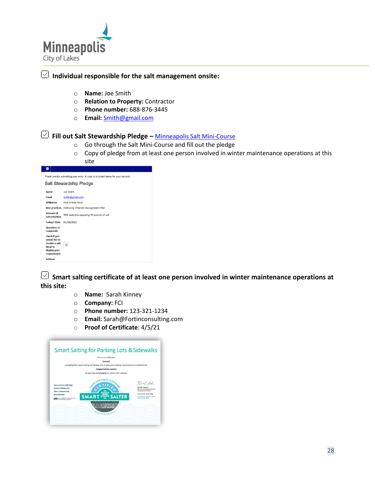

# **Individual responsible for the salt management onsite:**

- o **Name:** Joe Smith
- o **Relation to Property:** Contractor
- o **Phone number:** 688-876-3445
- o **Email:** [Smith@gmail.com](mailto:Smith@gmail.com)

 **Fill out Salt Stewardship Pledge –** [Minneapolis Salt Mini-Course](o%09https:/www2.minneapolismn.gov/government/programs-initiatives/environmental-programs/salt/)

- o Go through the Salt Mini-Course and fill out the pledge
- o Copy of pledge from at least one person involved in winter maintenance operations at this site

| ×                                                                                                           |                                          |  |  |  |  |
|-------------------------------------------------------------------------------------------------------------|------------------------------------------|--|--|--|--|
| Thank you for submitting your entry. A copy is included below for your records.                             |                                          |  |  |  |  |
|                                                                                                             | Salt Stewardship Pledge                  |  |  |  |  |
| Name                                                                                                        | Ine Smith                                |  |  |  |  |
| Email                                                                                                       | smith@gmail.com                          |  |  |  |  |
| <b>Affiliation</b>                                                                                          | Park N Ride West                         |  |  |  |  |
| Best practices                                                                                              | Following Chloride Management Plan       |  |  |  |  |
| Amount of<br>salt reduction                                                                                 | 50% reduction equaling 50 pounds of salt |  |  |  |  |
| <b>Today's Date</b>                                                                                         | 01/18/2022                               |  |  |  |  |
| <b>Questions or</b><br>comments                                                                             |                                          |  |  |  |  |
| Check if you<br>would like to<br>receive a salt<br>decal to<br>display your<br>commitment<br><b>Address</b> | $\mathbf{x}$                             |  |  |  |  |
|                                                                                                             |                                          |  |  |  |  |

 **Smart salting certificate of at least one person involved in winter maintenance operations at this site:** 

- o **Name:** Sarah Kinney
- o **Company:** FCI
- o **Phone number:** 123-321-1234
- o **Email:** Sarah@Fortinconsulting.com
- o **Proof of Certificate**: 4/5/21

|                                                                                                         | This is to certify that                                                                         |                                                                                                                                                                 |
|---------------------------------------------------------------------------------------------------------|-------------------------------------------------------------------------------------------------|-----------------------------------------------------------------------------------------------------------------------------------------------------------------|
|                                                                                                         | <i><b>[name]</b></i>                                                                            |                                                                                                                                                                 |
|                                                                                                         | completed the Smart Salting for Parking Lots & Sidewalks training requirements on behalf of the |                                                                                                                                                                 |
|                                                                                                         | <b>forganization namel</b>                                                                      |                                                                                                                                                                 |
|                                                                                                         | for learning and pledging to reduce their salt use.                                             |                                                                                                                                                                 |
| Your actions will help<br>protect Minnesota<br>lakes, streams and<br>groundwater<br>MINNESOTA POLLUTION | <b>AFER FOR LAKES</b><br><b>SMAR</b><br>$6$ SALTER<br>SAFE FOR PEOP                             | BUC.And<br><b>Renalce Aslesso</b><br>Resource Management and<br>Assistance Division<br>Issue Date: 65-86-7870<br>Certificate expires 5 years<br>from issue date |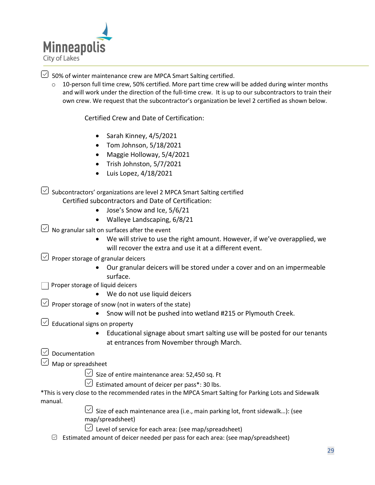

 $\vee$  50% of winter maintenance crew are MPCA Smart Salting certified.

o 10-person full time crew, 50% certified. More part time crew will be added during winter months and will work under the direction of the full-time crew. It is up to our subcontractors to train their own crew. We request that the subcontractor's organization be level 2 certified as shown below.

Certified Crew and Date of Certification:

- Sarah Kinney, 4/5/2021
- Tom Johnson, 5/18/2021
- Maggie Holloway, 5/4/2021
- Trish Johnston, 5/7/2021
- $\bullet$  Luis Lopez, 4/18/2021

 $\heartsuit$  Subcontractors' organizations are level 2 MPCA Smart Salting certified Certified subcontractors and Date of Certification:

- Jose's Snow and Ice, 5/6/21
- Walleye Landscaping, 6/8/21

 $\vee$  No granular salt on surfaces after the event

- We will strive to use the right amount. However, if we've overapplied, we will recover the extra and use it at a different event.
- $\vee$  Proper storage of granular deicers
	- Our granular deicers will be stored under a cover and on an impermeable surface.

Proper storage of liquid deicers

- We do not use liquid deicers
- $\heartsuit$  Proper storage of snow (not in waters of the state)
	- Snow will not be pushed into wetland #215 or Plymouth Creek.
- $\boxed{\smile}$  Educational signs on property
	- Educational signage about smart salting use will be posted for our tenants at entrances from November through March.

## Documentation

- Map or spreadsheet
	- $\vee$  Size of entire maintenance area: 52,450 sq. Ft
	- $\vee$  Estimated amount of deicer per pass\*: 30 lbs.

\*This is very close to the recommended rates in the MPCA Smart Salting for Parking Lots and Sidewalk manual.

> $\heartsuit$  Size of each maintenance area (i.e., main parking lot, front sidewalk...): (see map/spreadsheet)

- $\vee$  Level of service for each area: (see map/spreadsheet)
- $\boxdot$  Estimated amount of deicer needed per pass for each area: (see map/spreadsheet)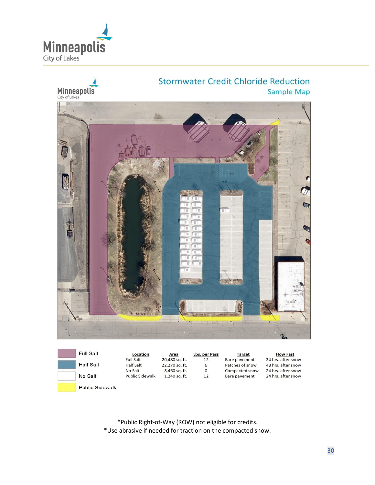



| <b>Full Salt</b>       | Location               | Area           | Lbs. per Pass | <b>Target</b>   | <b>How Fast</b>    |
|------------------------|------------------------|----------------|---------------|-----------------|--------------------|
|                        | Full Salt              | 20,480 sq. ft. | 12            | Bare pavement   | 24 hrs. after snow |
| Half Salt              | <b>Half Salt</b>       | 22,270 sq. ft. | 6             | Patches of snow | 48 hrs. after snow |
|                        | No Salt                | 8,460 sq. ft.  | 0             | Compacted snow  | 24 hrs. after snow |
| No Salt                | <b>Public Sidewalk</b> | 1,240 sq. ft.  | 12            | Bare pavement   | 24 hrs. after snow |
| <b>Public Sidewalk</b> |                        |                |               |                 |                    |

\*Public Right-of-Way (ROW) not eligible for credits. \*Use abrasive if needed for traction on the compacted snow.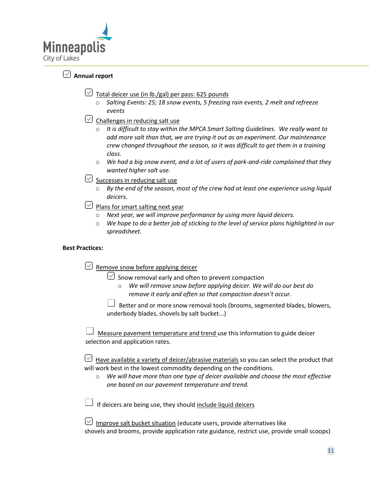

## **Annual report**

- $\heartsuit$  Total deicer use (in lb./gal) per pass: 625 pounds
	- o *Salting Events: 25; 18 snow events, 5 freezing rain events, 2 melt and refreeze events*
- $\vee$  Challenges in reducing salt use
	- o *It is difficult to stay within the MPCA Smart Salting Guidelines. We really want to add more salt than that, we are trying it out as an experiment. Our maintenance crew changed throughout the season, so it was difficult to get them in a training class.*
	- o *We had a big snow event, and a lot of users of park-and-ride complained that they wanted higher salt use.*
- $\vee$  Successes in reducing salt use
	- o *By the end of the season, most of the crew had at least one experience using liquid deicers.*
- $\vee$  Plans for smart salting next year
	- o *Next year, we will improve performance by using more liquid deicers.*
	- o *We hope to do a better job of sticking to the level of service plans highlighted in our spreadsheet.*

#### **Best Practices:**

 $\heartsuit$  Remove snow before applying deicer

 $\heartsuit$  Snow removal early and often to prevent compaction

o *We will remove snow before applying deicer. We will do our best do remove it early and often so that compaction doesn't occur.*

 Better and or more snow removal tools (brooms, segmented blades, blowers, underbody blades, shovels by salt bucket...)

 Measure pavement temperature and trend use this information to guide deicer selection and application rates.

 $\vee$  Have available a variety of deicer/abrasive materials so you can select the product that will work best in the lowest commodity depending on the conditions.

o *We will have more than one type of deicer available and choose the most effective one based on our pavement temperature and trend.*

If deicers are being use, they should include liquid deicers

 $\cup$  Improve salt bucket situation (educate users, provide alternatives like shovels and brooms, provide application rate guidance, restrict use, provide small scoops)